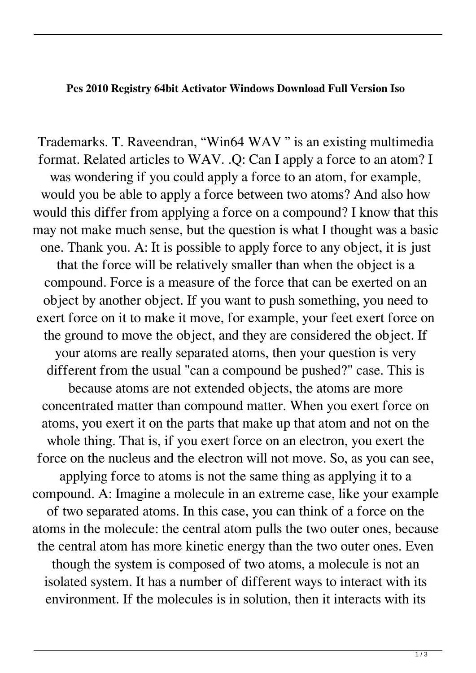## **Pes 2010 Registry 64bit Activator Windows Download Full Version Iso**

Trademarks. T. Raveendran, "Win64 WAV " is an existing multimedia format. Related articles to WAV. .Q: Can I apply a force to an atom? I was wondering if you could apply a force to an atom, for example, would you be able to apply a force between two atoms? And also how would this differ from applying a force on a compound? I know that this may not make much sense, but the question is what I thought was a basic one. Thank you. A: It is possible to apply force to any object, it is just that the force will be relatively smaller than when the object is a compound. Force is a measure of the force that can be exerted on an object by another object. If you want to push something, you need to exert force on it to make it move, for example, your feet exert force on the ground to move the object, and they are considered the object. If your atoms are really separated atoms, then your question is very different from the usual "can a compound be pushed?" case. This is because atoms are not extended objects, the atoms are more concentrated matter than compound matter. When you exert force on atoms, you exert it on the parts that make up that atom and not on the whole thing. That is, if you exert force on an electron, you exert the force on the nucleus and the electron will not move. So, as you can see, applying force to atoms is not the same thing as applying it to a compound. A: Imagine a molecule in an extreme case, like your example of two separated atoms. In this case, you can think of a force on the atoms in the molecule: the central atom pulls the two outer ones, because the central atom has more kinetic energy than the two outer ones. Even though the system is composed of two atoms, a molecule is not an isolated system. It has a number of different ways to interact with its environment. If the molecules is in solution, then it interacts with its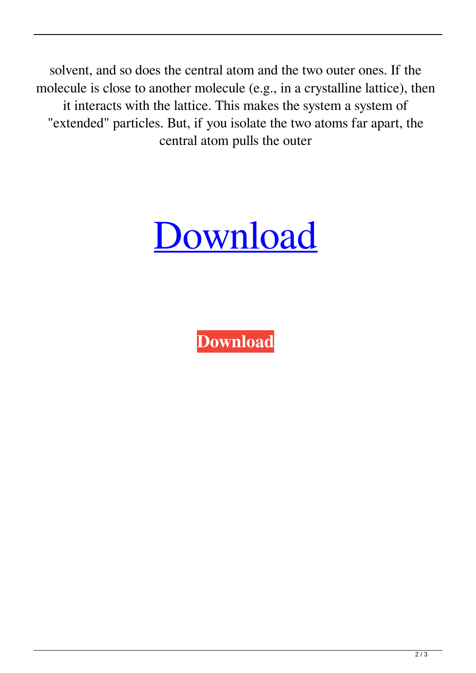solvent, and so does the central atom and the two outer ones. If the molecule is close to another molecule (e.g., in a crystalline lattice), then it interacts with the lattice. This makes the system a system of "extended" particles. But, if you isolate the two atoms far apart, the central atom pulls the outer



**[Download](http://evacdir.com/ZG93bmxvYWR8VW4xTVc5cU1ueDhNVFkxTWpjME1EZzJObng4TWpVM05IeDhLRTBwSUhKbFlXUXRZbXh2WnlCYlJtRnpkQ0JIUlU1ZA.transformer/unsung/borysenko/childern/paraphenelenediamine/squabble&cGVzIDIwMTAgcmVnaXN0cnkgZmlsZSBmb3Igd2luZG93cyA3IDY0IDEwNAcGV/storrey)**